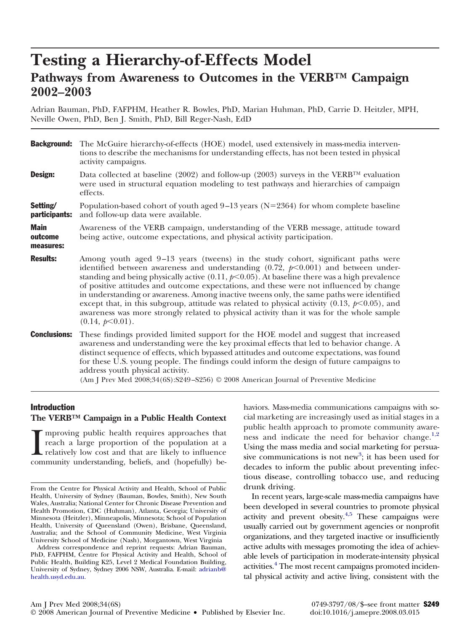# **Testing a Hierarchy-of-Effects Model Pathways from Awareness to Outcomes in the VERB™ Campaign 2002–2003**

Adrian Bauman, PhD, FAFPHM, Heather R. Bowles, PhD, Marian Huhman, PhD, Carrie D. Heitzler, MPH, Neville Owen, PhD, Ben J. Smith, PhD, Bill Reger-Nash, EdD

**Background:** The McGuire hierarchy-of-effects (HOE) model, used extensively in mass-media interventions to describe the mechanisms for understanding effects, has not been tested in physical activity campaigns. **Design:** Data collected at baseline (2002) and follow-up (2003) surveys in the VERB<sup>TM</sup> evaluation were used in structural equation modeling to test pathways and hierarchies of campaign effects. Setting/ participants: Population-based cohort of youth aged  $9-13$  years (N=2364) for whom complete baseline and follow-up data were available. Main outcome measures: Awareness of the VERB campaign, understanding of the VERB message, attitude toward being active, outcome expectations, and physical activity participation. **Results:** Among youth aged 9–13 years (tweens) in the study cohort, significant paths were identified between awareness and understanding  $(0.72,\ p< 0.001)$  and between understanding and being physically active  $(0.11, p< 0.05)$ . At baseline there was a high prevalence of positive attitudes and outcome expectations, and these were not influenced by change in understanding or awareness. Among inactive tweens only, the same paths were identified except that, in this subgroup, attitude was related to physical activity  $(0.13, p<0.05)$ , and awareness was more strongly related to physical activity than it was for the whole sample  $(0.14, p<0.01)$ . **Conclusions:** These findings provided limited support for the HOE model and suggest that increased awareness and understanding were the key proximal effects that led to behavior change. A distinct sequence of effects, which bypassed attitudes and outcome expectations, was found for these U.S. young people. The findings could inform the design of future campaigns to address youth physical activity. (Am J Prev Med 2008;34(6S):S249–S256) © 2008 American Journal of Preventive Medicine

# Introduction **The VERB™ Campaign in a Public Health Context**

I mproving public health requires approaches that reach a large proportion of the population at a relatively low cost and that are likely to influence community understanding, beliefs, and (hopefully) bemproving public health requires approaches that reach a large proportion of the population at a relatively low cost and that are likely to influence

Address correspondence and reprint requests: Adrian Bauman, PhD, FAFPHM, Centre for Physical Activity and Health, School of Public Health, Building K25, Level 2 Medical Foundation Building, University of Sydney, Sydney 2006 NSW, Australia. E-mail: [adrianb@](mailto:adrianb@health.usyd.edu.au) [health.usyd.edu.au.](mailto:adrianb@health.usyd.edu.au)

haviors. Mass-media communications campaigns with social marketing are increasingly used as initial stages in a public health approach to promote community aware-ness and indicate the need for behavior change.<sup>[1,2](#page-6-0)</sup> Using the mass media and social marketing for persua-sive communications is not new<sup>[3](#page-6-0)</sup>; it has been used for decades to inform the public about preventing infectious disease, controlling tobacco use, and reducing drunk driving.

In recent years, large-scale mass-media campaigns have been developed in several countries to promote physical activity and prevent obesity. $4.5$  These campaigns were usually carried out by government agencies or nonprofit organizations, and they targeted inactive or insufficiently active adults with messages promoting the idea of achievable levels of participation in moderate-intensity physical activities.<sup>4</sup> The most recent campaigns promoted incidental physical activity and active living, consistent with the

From the Centre for Physical Activity and Health, School of Public Health, University of Sydney (Bauman, Bowles, Smith), New South Wales, Australia; National Center for Chronic Disease Prevention and Health Promotion, CDC (Huhman), Atlanta, Georgia; University of Minnesota (Heitzler), Minneapolis, Minnesota; School of Population Health, University of Queensland (Owen), Brisbane, Queensland, Australia; and the School of Community Medicine, West Virginia University School of Medicine (Nash), Morgantown, West Virginia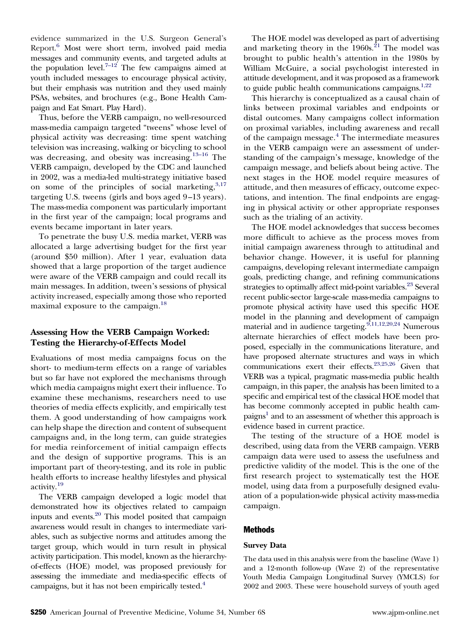evidence summarized in the U.S. Surgeon General's Report[.6](#page-6-0) Most were short term, involved paid media messages and community events, and targeted adults at the population level.<sup>7-12</sup> The few campaigns aimed at youth included messages to encourage physical activity, but their emphasis was nutrition and they used mainly PSAs, websites, and brochures (e.g., Bone Health Campaign and Eat Smart. Play Hard).

Thus, before the VERB campaign, no well-resourced mass-media campaign targeted "tweens" whose level of physical activity was decreasing: time spent watching television was increasing, walking or bicycling to school was decreasing, and obesity was increasing.<sup>[13–16](#page-6-0)</sup> The VERB campaign, developed by the CDC and launched in 2002, was a media-led multi-strategy initiative based on some of the principles of social marketing,  $3,17$ targeting U.S. tweens (girls and boys aged 9–13 years). The mass-media component was particularly important in the first year of the campaign; local programs and events became important in later years.

To penetrate the busy U.S. media market, VERB was allocated a large advertising budget for the first year (around \$50 million). After 1 year, evaluation data showed that a large proportion of the target audience were aware of the VERB campaign and could recall its main messages. In addition, tween's sessions of physical activity increased, especially among those who reported maximal exposure to the campaign.[18](#page-6-0)

# **Assessing How the VERB Campaign Worked: Testing the Hierarchy-of-Effects Model**

Evaluations of most media campaigns focus on the short- to medium-term effects on a range of variables but so far have not explored the mechanisms through which media campaigns might exert their influence. To examine these mechanisms, researchers need to use theories of media effects explicitly, and empirically test them. A good understanding of how campaigns work can help shape the direction and content of subsequent campaigns and, in the long term, can guide strategies for media reinforcement of initial campaign effects and the design of supportive programs. This is an important part of theory-testing, and its role in public health efforts to increase healthy lifestyles and physical activity.[19](#page-6-0)

The VERB campaign developed a logic model that demonstrated how its objectives related to campaign inputs and events[.20](#page-6-0) This model posited that campaign awareness would result in changes to intermediate variables, such as subjective norms and attitudes among the target group, which would in turn result in physical activity participation. This model, known as the hierarchyof-effects (HOE) model, was proposed previously for assessing the immediate and media-specific effects of campaigns, but it has not been empirically tested.<sup>4</sup>

The HOE model was developed as part of advertising and marketing theory in the  $1960s$ .<sup>[21](#page-6-0)</sup> The model was brought to public health's attention in the 1980s by William McGuire, a social psychologist interested in attitude development, and it was proposed as a framework to guide public health communications campaigns. $1,22$ 

This hierarchy is conceptualized as a causal chain of links between proximal variables and endpoints or distal outcomes. Many campaigns collect information on proximal variables, including awareness and recall of the campaign message.[4](#page-6-0) The intermediate measures in the VERB campaign were an assessment of understanding of the campaign's message, knowledge of the campaign message, and beliefs about being active. The next stages in the HOE model require measures of attitude, and then measures of efficacy, outcome expectations, and intention. The final endpoints are engaging in physical activity or other appropriate responses such as the trialing of an activity.

The HOE model acknowledges that success becomes more difficult to achieve as the process moves from initial campaign awareness through to attitudinal and behavior change. However, it is useful for planning campaigns, developing relevant intermediate campaign goals, predicting change, and refining communications strategies to optimally affect mid-point variables.<sup>23</sup> Several recent public-sector large-scale mass-media campaigns to promote physical activity have used this specific HOE model in the planning and development of campaign material and in audience targeting.  $9,11,12,20,24$  Numerous alternate hierarchies of effect models have been proposed, especially in the communications literature, and have proposed alternate structures and ways in which communications exert their effects[.23,25,26](#page-6-0) Given that VERB was a typical, pragmatic mass-media public health campaign, in this paper, the analysis has been limited to a specific and empirical test of the classical HOE model that has become commonly accepted in public health campaigns<sup>1</sup> and to an assessment of whether this approach is evidence based in current practice.

The testing of the structure of a HOE model is described, using data from the VERB campaign. VERB campaign data were used to assess the usefulness and predictive validity of the model. This is the one of the first research project to systematically test the HOE model, using data from a purposefully designed evaluation of a population-wide physical activity mass-media campaign.

## Methods

## **Survey Data**

The data used in this analysis were from the baseline (Wave 1) and a 12-month follow-up (Wave 2) of the representative Youth Media Campaign Longitudinal Survey (YMCLS) for 2002 and 2003. These were household surveys of youth aged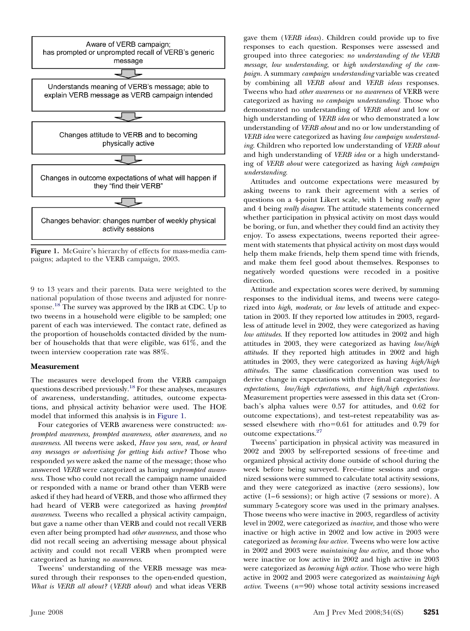

**Figure 1.** McGuire's hierarchy of effects for mass-media campaigns; adapted to the VERB campaign, 2003.

9 to 13 years and their parents. Data were weighted to the national population of those tweens and adjusted for nonresponse.<sup>18</sup> The survey was approved by the IRB at CDC. Up to two tweens in a household were eligible to be sampled; one parent of each was interviewed. The contact rate, defined as the proportion of households contacted divided by the number of households that that were eligible, was 61%, and the tween interview cooperation rate was 88%.

#### **Measurement**

The measures were developed from the VERB campaign questions described previously[.18](#page-6-0) For these analyses, measures of awareness, understanding, attitudes, outcome expectations, and physical activity behavior were used. The HOE model that informed this analysis is in Figure 1.

Four categories of VERB awareness were constructed: *unprompted awareness, prompted awareness, other awareness,* and *no awareness*. All tweens were asked, *Have you seen, read, or heard any messages or advertising for getting kids active?* Those who responded *yes* were asked the name of the message; those who answered *VERB* were categorized as having *unprompted awareness*. Those who could not recall the campaign name unaided or responded with a name or brand other than VERB were asked if they had heard of VERB, and those who affirmed they had heard of VERB were categorized as having *prompted awareness*. Tweens who recalled a physical activity campaign, but gave a name other than VERB and could not recall VERB even after being prompted had *other awareness*, and those who did not recall seeing an advertising message about physical activity and could not recall VERB when prompted were categorized as having *no awareness*.

Tweens' understanding of the VERB message was measured through their responses to the open-ended question, *What is VERB all about?* (*VERB about*) and what ideas VERB gave them (*VERB ideas*). Children could provide up to five responses to each question. Responses were assessed and grouped into three categories: *no understanding of the VERB message, low understanding*, or *high understanding of the campaign.* A summary *campaign understanding* variable was created by combining all *VERB about* and *VERB ideas* responses. Tweens who had *other awareness* or *no awareness* of VERB were categorized as having *no campaign understanding*. Those who demonstrated no understanding of *VERB about* and low or high understanding of *VERB idea* or who demonstrated a low understanding of *VERB about* and no or low understanding of *VERB idea* were categorized as having *low campaign understanding*. Children who reported low understanding of *VERB about* and high understanding of *VERB idea* or a high understanding of *VERB about* were categorized as having *high campaign understanding*.

Attitudes and outcome expectations were measured by asking tweens to rank their agreement with a series of questions on a 4-point Likert scale, with 1 being *really agree* and 4 being *really disagree*. The attitude statements concerned whether participation in physical activity on most days would be boring, or fun, and whether they could find an activity they enjoy. To assess expectations, tweens reported their agreement with statements that physical activity on most days would help them make friends, help them spend time with friends, and make them feel good about themselves. Responses to negatively worded questions were recoded in a positive direction.

Attitude and expectation scores were derived, by summing responses to the individual items, and tweens were categorized into *high, moderate*, or *low* levels of attitude and expectation in 2003. If they reported low attitudes in 2003, regardless of attitude level in 2002, they were categorized as having *low attitudes*. If they reported low attitudes in 2002 and high attitudes in 2003, they were categorized as having *low/high attitudes.* If they reported high attitudes in 2002 and high attitudes in 2003, they were categorized as having *high/high attitudes*. The same classification convention was used to derive change in expectations with three final categories: *low expectations, low/high expectations, and high/high expectations.* Measurement properties were assessed in this data set (Cronbach's alpha values were 0.57 for attitudes, and 0.62 for outcome expectations), and test–retest repeatability was assessed elsewhere with  $rho=0.61$  for attitudes and 0.79 for outcome expectations[.27](#page-7-0)

Tweens' participation in physical activity was measured in 2002 and 2003 by self-reported sessions of free-time and organized physical activity done outside of school during the week before being surveyed. Free–time sessions and organized sessions were summed to calculate total activity sessions, and they were categorized as inactive (zero sessions), low active (1–6 sessions); or high active (7 sessions or more). A summary 5-category score was used in the primary analyses. Those tweens who were inactive in 2003, regardless of activity level in 2002, were categorized as *inactive,* and those who were inactive or high active in 2002 and low active in 2003 were categorized as *becoming low active.* Tweens who were low active in 2002 and 2003 were *maintaining low active,* and those who were inactive or low active in 2002 and high active in 2003 were categorized as *becoming high active.* Those who were high active in 2002 and 2003 were categorized as *maintaining high active*. Tweens  $(n=90)$  whose total activity sessions increased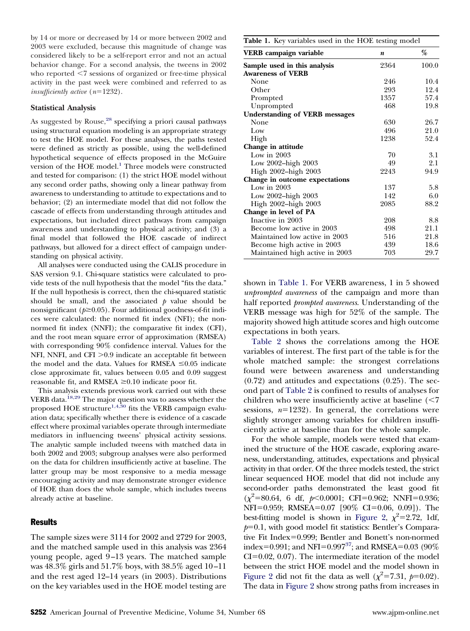by 14 or more or decreased by 14 or more between 2002 and 2003 were excluded, because this magnitude of change was considered likely to be a self-report error and not an actual behavior change. For a second analysis, the tweens in 2002 who reported <7 sessions of organized or free-time physical activity in the past week were combined and referred to as *insufficiently active*  $(n=1232)$ .

#### **Statistical Analysis**

As suggested by  $Rouse<sup>28</sup>$ , specifying a priori causal pathways using structural equation modeling is an appropriate strategy to test the HOE model. For these analyses, the paths tested were defined as strictly as possible, using the well-defined hypothetical sequence of effects proposed in the McGuire version of the HOE model.<sup>1</sup> Three models were constructed and tested for comparison: (1) the strict HOE model without any second order paths, showing only a linear pathway from awareness to understanding to attitude to expectations and to behavior; (2) an intermediate model that did not follow the cascade of effects from understanding through attitudes and expectations, but included direct pathways from campaign awareness and understanding to physical activity; and (3) a final model that followed the HOE cascade of indirect pathways, but allowed for a direct effect of campaign understanding on physical activity.

All analyses were conducted using the CALIS procedure in SAS version 9.1. Chi-square statistics were calculated to provide tests of the null hypothesis that the model "fits the data." If the null hypothesis is correct, then the chi-squared statistic should be small, and the associated  $p$  value should be nonsignificant  $(p\geq0.05)$ . Four additional goodness-of-fit indices were calculated: the normed fit index (NFI); the nonnormed fit index (NNFI); the comparative fit index (CFI), and the root mean square error of approximation (RMSEA) with corresponding 90% confidence interval. Values for the NFI, NNFI, and CFI  $>0.9$  indicate an acceptable fit between the model and the data. Values for RMSEA  $\leq 0.05$  indicate close approximate fit, values between 0.05 and 0.09 suggest reasonable fit, and RMSEA  $\geq 0.10$  indicate poor fit.

This analysis extends previous work carried out with these VERB data.<sup>18,29</sup> The major question was to assess whether the proposed HOE structure<sup>1,4,30</sup> fits the VERB campaign evaluation data; specifically whether there is evidence of a cascade effect where proximal variables operate through intermediate mediators in influencing tweens' physical activity sessions. The analytic sample included tweens with matched data in both 2002 and 2003; subgroup analyses were also performed on the data for children insufficiently active at baseline. The latter group may be most responsive to a media message encouraging activity and may demonstrate stronger evidence of HOE than does the whole sample, which includes tweens already active at baseline.

## **Results**

The sample sizes were 3114 for 2002 and 2729 for 2003, and the matched sample used in this analysis was 2364 young people, aged 9–13 years. The matched sample was 48.3% girls and 51.7% boys, with 38.5% aged 10–11 and the rest aged 12–14 years (in 2003). Distributions on the key variables used in the HOE model testing are

**Table 1.** Key variables used in the HOE testing model

| VERB campaign variable                | n    | %     |
|---------------------------------------|------|-------|
| Sample used in this analysis          | 2364 | 100.0 |
| <b>Awareness of VERB</b>              |      |       |
| None                                  | 246  | 10.4  |
| Other                                 | 293  | 12.4  |
| Prompted                              | 1357 | 57.4  |
| Unprompted                            | 468  | 19.8  |
| <b>Understanding of VERB messages</b> |      |       |
| None                                  | 630  | 26.7  |
| Low                                   | 496  | 21.0  |
| High                                  | 1238 | 52.4  |
| Change in attitude                    |      |       |
| Low in $2003$                         | 70   | 3.1   |
| Low 2002–high 2003                    | 49   | 2.1   |
| High 2002-high 2003                   | 2243 | 94.9  |
| Change in outcome expectations        |      |       |
| Low in $2003$                         | 137  | 5.8   |
| Low 2002-high 2003                    | 142  | 6.0   |
| High 2002-high 2003                   | 2085 | 88.2  |
| Change in level of PA                 |      |       |
| Inactive in 2003                      | 208  | 8.8   |
| Become low active in 2003             | 498  | 21.1  |
| Maintained low active in 2003         | 516  | 21.8  |
| Become high active in 2003            | 439  | 18.6  |
| Maintained high active in 2003        | 703  | 29.7  |

shown in Table 1. For VERB awareness, 1 in 5 showed *unprompted awareness* of the campaign and more than half reported *prompted awareness*. Understanding of the VERB message was high for 52% of the sample. The majority showed high attitude scores and high outcome expectations in both years.

[Table 2](#page-4-0) shows the correlations among the HOE variables of interest. The first part of the table is for the whole matched sample: the strongest correlations found were between awareness and understanding (0.72) and attitudes and expectations (0.25). The second part of [Table 2](#page-4-0) is confined to results of analyses for children who were insufficiently active at baseline  $\langle$ <7 sessions,  $n=1232$ ). In general, the correlations were slightly stronger among variables for children insufficiently active at baseline than for the whole sample.

For the whole sample, models were tested that examined the structure of the HOE cascade, exploring awareness, understanding, attitudes, expectations and physical activity in that order. Of the three models tested, the strict linear sequenced HOE model that did not include any second-order paths demonstrated the least good fit  $(\chi^2 = 80.64, 6 \text{ df}, p < 0.0001; \text{ CFI} = 0.962; \text{ NNFI} = 0.936;$ NFI=0.959; RMSEA=0.07 [90% CI=0.06, 0.09]). The best-fitting model is shown in [Figure 2,](#page-4-0)  $\chi^2$ =2.72, 1df,  $p=0.1$ , with good model fit statistics: Bentler's Comparative Fit Index=0.999; Bentler and Bonett's non-normed index=0.991; and NFI=0.997<sup>37</sup>; and RMSEA=0.03 (90%)  $CI = 0.02, 0.07$ . The intermediate iteration of the model between the strict HOE model and the model shown in [Figure 2](#page-4-0) did not fit the data as well  $(\chi^2=7.31, p=0.02)$ . The data in [Figure 2](#page-4-0) show strong paths from increases in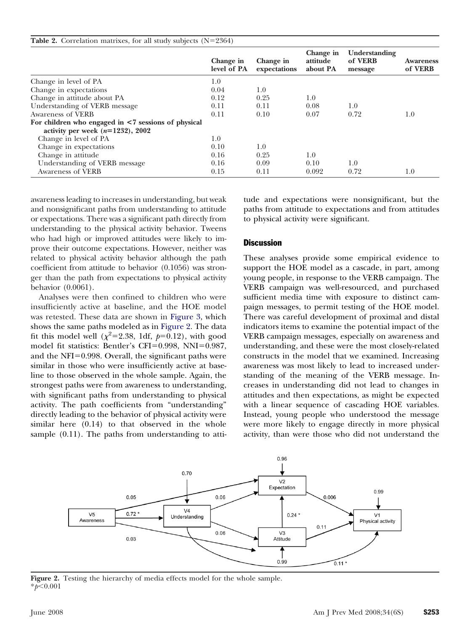#### <span id="page-4-0"></span>**Table 2.** Correlation matrixes, for all study subjects  $(N=2364)$

|                                                           | Change in<br>level of PA | Change in<br>expectations | Change in<br>attitude<br>about PA | Understanding<br>of VERB<br>message | <b>Awareness</b><br>of VERB |
|-----------------------------------------------------------|--------------------------|---------------------------|-----------------------------------|-------------------------------------|-----------------------------|
| Change in level of PA                                     | 1.0                      |                           |                                   |                                     |                             |
| Change in expectations                                    | 0.04                     | 1.0                       |                                   |                                     |                             |
| Change in attitude about PA                               | 0.12                     | 0.25                      | 1.0                               |                                     |                             |
| Understanding of VERB message                             | 0.11                     | 0.11                      | 0.08                              | 1.0                                 |                             |
| Awareness of VERB                                         | 0.11                     | 0.10                      | 0.07                              | 0.72                                | 1.0                         |
| For children who engaged in $\leq 7$ sessions of physical |                          |                           |                                   |                                     |                             |
| activity per week $(n=1232)$ , 2002                       |                          |                           |                                   |                                     |                             |
| Change in level of PA                                     | 1.0                      |                           |                                   |                                     |                             |
| Change in expectations                                    | 0.10                     | 1.0                       |                                   |                                     |                             |
| Change in attitude                                        | 0.16                     | 0.25                      | 1.0                               |                                     |                             |
| Understanding of VERB message                             | 0.16                     | 0.09                      | 0.10                              | 1.0                                 |                             |
| Awareness of VERB                                         | 0.15                     | 0.11                      | 0.092                             | 0.72                                | 1.0                         |

awareness leading to increases in understanding, but weak and nonsignificant paths from understanding to attitude or expectations. There was a significant path directly from understanding to the physical activity behavior. Tweens who had high or improved attitudes were likely to improve their outcome expectations. However, neither was related to physical activity behavior although the path coefficient from attitude to behavior (0.1056) was stronger than the path from expectations to physical activity behavior (0.0061).

Analyses were then confined to children who were insufficiently active at baseline, and the HOE model was retested. These data are shown in [Figure 3,](#page-5-0) which shows the same paths modeled as in Figure 2. The data fit this model well ( $\chi^2$ =2.38, 1df,  $p$ =0.12), with good model fit statistics: Bentler's CFI=0.998, NNI=0.987, and the NFI= $0.998$ . Overall, the significant paths were similar in those who were insufficiently active at baseline to those observed in the whole sample. Again, the strongest paths were from awareness to understanding, with significant paths from understanding to physical activity. The path coefficients from "understanding" directly leading to the behavior of physical activity were similar here (0.14) to that observed in the whole sample (0.11). The paths from understanding to atti-

tude and expectations were nonsignificant, but the paths from attitude to expectations and from attitudes to physical activity were significant.

#### **Discussion**

These analyses provide some empirical evidence to support the HOE model as a cascade, in part, among young people, in response to the VERB campaign. The VERB campaign was well-resourced, and purchased sufficient media time with exposure to distinct campaign messages, to permit testing of the HOE model. There was careful development of proximal and distal indicators items to examine the potential impact of the VERB campaign messages, especially on awareness and understanding, and these were the most closely-related constructs in the model that we examined. Increasing awareness was most likely to lead to increased understanding of the meaning of the VERB message. Increases in understanding did not lead to changes in attitudes and then expectations, as might be expected with a linear sequence of cascading HOE variables. Instead, young people who understood the message were more likely to engage directly in more physical activity, than were those who did not understand the



**Figure 2.** Testing the hierarchy of media effects model for the whole sample. \**p*-0.001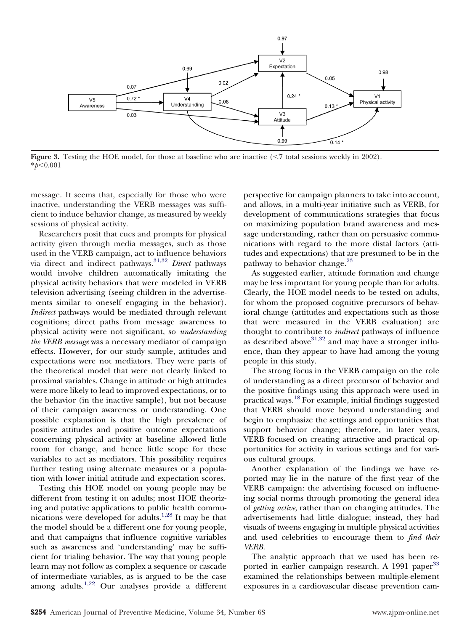<span id="page-5-0"></span>

**Figure 3.** Testing the HOE model, for those at baseline who are inactive (<7 total sessions weekly in 2002). \**p*-0.001

message. It seems that, especially for those who were inactive, understanding the VERB messages was sufficient to induce behavior change, as measured by weekly sessions of physical activity.

Researchers posit that cues and prompts for physical activity given through media messages, such as those used in the VERB campaign, act to influence behaviors via direct and indirect pathways.<sup>[31,32](#page-7-0)</sup> *Direct* pathways would involve children automatically imitating the physical activity behaviors that were modeled in VERB television advertising (seeing children in the advertisements similar to oneself engaging in the behavior). *Indirect* pathways would be mediated through relevant cognitions; direct paths from message awareness to physical activity were not significant, so *understanding the VERB message* was a necessary mediator of campaign effects. However, for our study sample, attitudes and expectations were not mediators. They were parts of the theoretical model that were not clearly linked to proximal variables. Change in attitude or high attitudes were more likely to lead to improved expectations, or to the behavior (in the inactive sample), but not because of their campaign awareness or understanding. One possible explanation is that the high prevalence of positive attitudes and positive outcome expectations concerning physical activity at baseline allowed little room for change, and hence little scope for these variables to act as mediators. This possibility requires further testing using alternate measures or a population with lower initial attitude and expectation scores.

Testing this HOE model on young people may be different from testing it on adults; most HOE theorizing and putative applications to public health communications were developed for adults.[1,28](#page-6-0) It may be that the model should be a different one for young people, and that campaigns that influence cognitive variables such as awareness and 'understanding' may be sufficient for trialing behavior. The way that young people learn may not follow as complex a sequence or cascade of intermediate variables, as is argued to be the case among adults.<sup>[1,22](#page-6-0)</sup> Our analyses provide a different perspective for campaign planners to take into account, and allows, in a multi-year initiative such as VERB, for development of communications strategies that focus on maximizing population brand awareness and message understanding, rather than on persuasive communications with regard to the more distal factors (attitudes and expectations) that are presumed to be in the pathway to behavior change.<sup>[23](#page-6-0)</sup>

As suggested earlier, attitude formation and change may be less important for young people than for adults. Clearly, the HOE model needs to be tested on adults, for whom the proposed cognitive precursors of behavioral change (attitudes and expectations such as those that were measured in the VERB evaluation) are thought to contribute to *indirect* pathways of influence as described above  $31,32$  and may have a stronger influence, than they appear to have had among the young people in this study.

The strong focus in the VERB campaign on the role of understanding as a direct precursor of behavior and the positive findings using this approach were used in practical ways.[18](#page-6-0) For example, initial findings suggested that VERB should move beyond understanding and begin to emphasize the settings and opportunities that support behavior change; therefore, in later years, VERB focused on creating attractive and practical opportunities for activity in various settings and for various cultural groups.

Another explanation of the findings we have reported may lie in the nature of the first year of the VERB campaign: the advertising focused on influencing social norms through promoting the general idea of *getting active*, rather than on changing attitudes. The advertisements had little dialogue; instead, they had visuals of tweens engaging in multiple physical activities and used celebrities to encourage them to *find their VERB.*

The analytic approach that we used has been re-ported in earlier campaign research. A 1991 paper<sup>[33](#page-7-0)</sup> examined the relationships between multiple-element exposures in a cardiovascular disease prevention cam-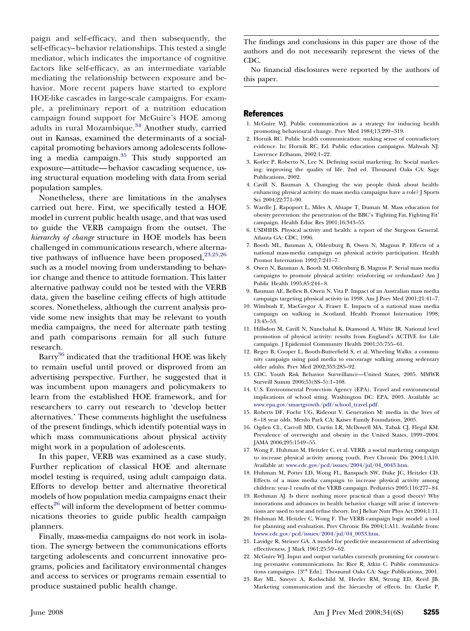<span id="page-6-0"></span>paign and self-efficacy, and then subsequently, the self-efficacy–behavior relationships. This tested a single mediator, which indicates the importance of cognitive factors like self-efficacy, as an intermediate variable mediating the relationship between exposure and behavior. More recent papers have started to explore HOE-like cascades in large-scale campaigns. For example, a preliminary report of a nutrition education campaign found support for McGuire's HOE among adults in rural Mozambique.<sup>[34](#page-7-0)</sup> Another study, carried out in Kansas, examined the determinants of a socialcapital promoting behaviors among adolescents following a media campaign. $35$  This study supported an exposure—attitude—behavior cascading sequence, using structural equation modeling with data from serial population samples.

Nonetheless, there are limitations in the analyses carried out here. First, we specifically tested a HOE model in current public health usage, and that was used to guide the VERB campaign from the outset. The *hierarchy of change* structure in HOE models has been challenged in communications research, where alternative pathways of influence have been proposed, $23,25,26$ such as a model moving from understanding to behavior change and thence to attitude formation. This latter alternative pathway could not be tested with the VERB data, given the baseline ceiling effects of high attitude scores. Nonetheless, although the current analysis provide some new insights that may be relevant to youth media campaigns, the need for alternate path testing and path comparisons remain for all such future research.

Barry<sup>[36](#page-7-0)</sup> indicated that the traditional HOE was likely to remain useful until proved or disproved from an advertising perspective. Further, he suggested that it was incumbent upon managers and policymakers to learn from the established HOE framework, and for researchers to carry out research to 'develop better alternatives.' These comments highlight the usefulness of the present findings, which identify potential ways in which mass communications about physical activity might work in a population of adolescents.

In this paper, VERB was examined as a case study. Further replication of classical HOE and alternate model testing is required, using adult campaign data. Efforts to develop better and alternative theoretical models of how population media campaigns enact their effects<sup>[26](#page-7-0)</sup> will inform the development of better communications theories to guide public health campaign planners.

Finally, mass-media campaigns do not work in isolation. The synergy between the communications efforts targeting adolescents and concurrent innovative programs, policies and facilitatory environmental changes and access to services or programs remain essential to produce sustained public health change.

The findings and conclusions in this paper are those of the authors and do not necessarily represent the views of the CDC.

No financial disclosures were reported by the authors of this paper.

#### **References**

- 1. McGuire WJ. Public communication as a strategy for inducing health promoting behavioural change. Prev Med 1984;13:299–319.
- 2. Hornik RC. Public health communication: making sense of contradictory evidence. In: Hornik RC, Ed. Public education campaigns. Mahwah NJ: Lawrence Erlbaum, 2002:1–22.
- 3. Kotler P, Roberto N, Lee N. Defining social marketing. In: Social marketing: improving the quality of life. 2nd ed. Thousand Oaks CA: Sage Publications, 2002.
- 4. Cavill N, Bauman A. Changing the way people think about healthenhancing physical activity: do mass media campaigns have a role? J Sports Sci 2004;22:771–90.
- 5. Wardle J, Rapoport L, Miles A, Afuape T, Duman M. Mass education for obesity prevention: the penetration of the BBC's 'Fighting Fat, Fighting Fit' campaign. Health Educ Res 2001;16:343–55.
- 6. USDHHS. Physical activity and health: a report of the Surgeon General. Atlanta GA: CDC, 1996.
- 7. Booth ML, Bauman A, Oldenburg B, Owen N, Magnus P. Effects of a national mass-media campaign on physical activity participation. Health Promot Internation 1992;7:241–7.
- 8. Owen N, Bauman A, Booth M, Oldenburg B, Magnus P. Serial mass media campaigns to promote physical activity: reinforcing or redundant? Am J Public Health 1995;85:244–8.
- 9. Bauman AE, Bellew B, Owen N, Vita P. Impact of an Australian mass media campaign targeting physical activity in 1998. Am J Prev Med 2001;21:41–7.
- 10. Wimbush E, MacGregor A, Fraser E. Impacts of a national mass media campaign on walking in Scotland. Health Promot Internation 1998; 13:45–53.
- 11. Hillsdon M, Cavill N, Nanchahal K, Diamond A, White IR. National level promotion of physical activity: results from England's ACTIVE for Life campaign. J Epidemiol Community Health 2001;55:755–61.
- 12. Reger B, Cooper L, Booth-Butterfield S, et al. Wheeling Walks: a community campaign using paid media to encourage walking among sedentary older adults. Prev Med 2002;353:285–92.
- 13. CDC. Youth Risk Behavior Surveillance—United States, 2005. MMWR Surveill Summ 2006;55(SS–5):1–108.
- 14. U.S. Environmental Protection Agency (EPA). Travel and environmental implications of school siting. Washington DC: EPA, 2003. Available at: [www.epa.gov/smartgrowth/pdf/school\\_travel.pdf.](http://www.epa.gov/smartgrowth/pdf/school_travel.pdf)
- 15. Roberts DF, Foehr UG, Rideout V. Generation M: media in the lives of 8–18 year olds. Menlo Park CA: Kaiser Family Foundation, 2005.
- 16. Ogden CL, Carroll MD, Curtin LR, McDowell MA, Tabak CJ, Flegal KM. Prevalence of overweight and obesity in the United States, 1999–2004. JAMA 2006;295:1549–55.
- 17. Wong F, Huhman M, Heitzler C, et al. VERB: a social marketing campaign to increase physical activity among youth. Prev Chronic Dis 2004;1:A10. Available at: [www.cdc.gov/pcd/issues/2004/jul/04\\_0043.htm.](http://www.cdc.gov/pcd/issues/2004/jul/04_0043.htm)
- 18. Huhman M, Potter LD, Wong FL, Banspach SW, Duke JC, Heitzler CD. Effects of a mass media campaign to increase physical activity among children: year-1 results of the VERB campaign. Pediatrics 2005;116:277–84.
- 19. Rothman AJ. Is there nothing more practical than a good theory? Why innovations and advances in health behavior change will arise if interventions are used to test and refine theory. Int J Behav Nutr Phys Act 2004;1:11.
- 20. Huhman M, Heitzler C, Wong F. The VERB campaign logic model: a tool for planning and evaluation. Prev Chronic Dis 2004;1:A11. Available from: [hwww.cdc.gov/pcd/issues/2004/jul/04\\_0033.htm.](http://hwww.cdc.gov/pcd/issues/2004/jul/04_0033.htm)
- 21. Lavidge R, Steiner GA. A model for predictive measurement of advertising effectiveness. J Mark 1961;25:59–62.
- 22. McGuire WJ. Input and output variables currently promising for constructing persuasive communications. In: Rice R, Atkin C. Public communications campaigns. [3rd Edn]. Thousand Oaks CA: Sage Publications, 2001.
- 23. Ray ML, Sawyer A, Rothschild M, Heeler RM, Strong ED, Reed JB. Marketing communication and the hierarchy of effects. In: Clarke P,